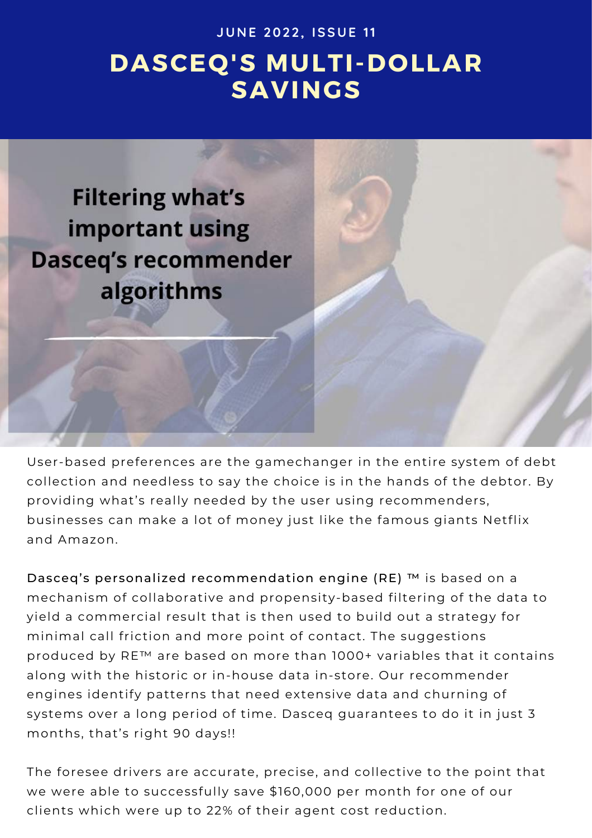**J U N E 202 2 , I S S U E 11**

## **DASCEQ'S MULTI-DOLLAR SAVINGS**



User-based preferences are the gamechanger in the entire system of debt collection and needless to say the choice is in the hands of the debtor. By providing what's really needed by the user using recommenders, businesses can make a lot of money just like the famous giants Netflix and Amazon.

Dasceq's personalized recommendation engine (RE) ™ is based on a mechanism of collaborative and propensity-based filtering of the data to yield a commercial result that is then used to build out a strategy for minimal call friction and more point of contact. The suggestions produced by RE™ are based on more than 1000+ variables that it contains along with the historic or in-house data in-store. Our recommender engines identify patterns that need extensive data and churning of systems over a long period of time. Dasceq guarantees to do it in just 3 months, that's right 90 days!!

The foresee drivers are accurate, precise, and collective to the point that we were able to successfully save \$160,000 per month for one of our clients which were up to 22% of their agent cost reduction.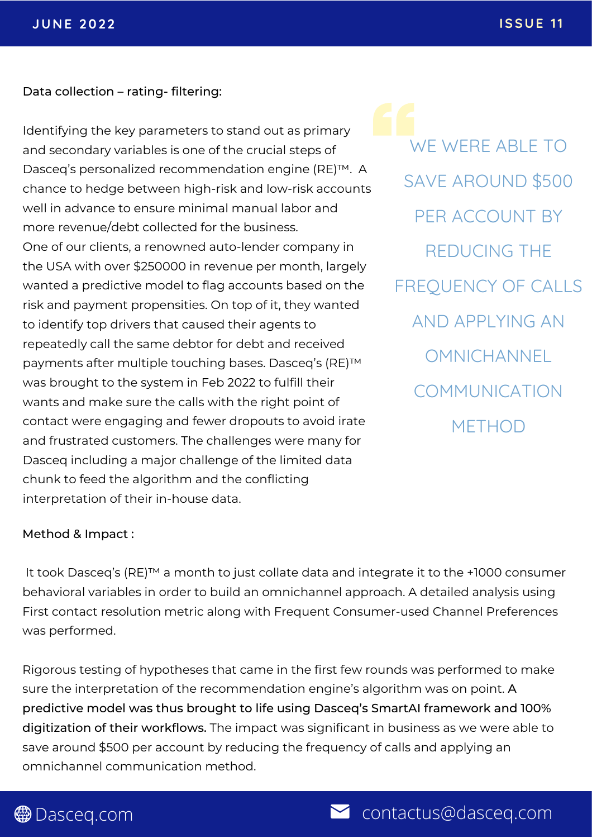Data collection – rating- filtering:

Identifying the key parameters to stand out as primary and secondary variables is one of the crucial steps of Dasceq's personalized recommendation engine (RE)™. A chance to hedge between high-risk and low-risk accounts well in advance to ensure minimal manual labor and more revenue/debt collected for the business. One of our clients, a renowned auto-lender company in the USA with over \$250000 in revenue per month, largely wanted a predictive model to flag accounts based on the risk and payment propensities. On top of it, they wanted to identify top drivers that caused their agents to repeatedly call the same debtor for debt and received payments after multiple touching bases. Dasceq's (RE)™ was brought to the system in Feb 2022 to fulfill their wants and make sure the calls with the right point of contact were engaging and fewer dropouts to avoid irate and frustrated customers. The challenges were many for Dasceq including a major challenge of the limited data chunk to feed the algorithm and the conflicting interpretation of their in-house data.

WE WERE ABLE TO SAVE AROUND \$500 PER ACCOUNT BY REDUCING THE FREQUENCY OF CALLS AND APPLYING AN **OMNICHANNEL** COMMUNICATION **METHOD** 

## Method & Impact :

It took Dasceq's (RE)™ a month to just collate data and integrate it to the +1000 consumer behavioral variables in order to build an omnichannel approach. A detailed analysis using First contact resolution metric along with Frequent Consumer-used Channel Preferences was performed.

Rigorous testing of hypotheses that came in the first few rounds was performed to make sure the interpretation of the recommendation engine's algorithm was on point. A predictive model was thus brought to life using Dasceq's SmartAI framework and 100% digitization of their workflows. The impact was significant in business as we were able to save around \$500 per account by reducing the frequency of calls and applying an omnichannel communication method.